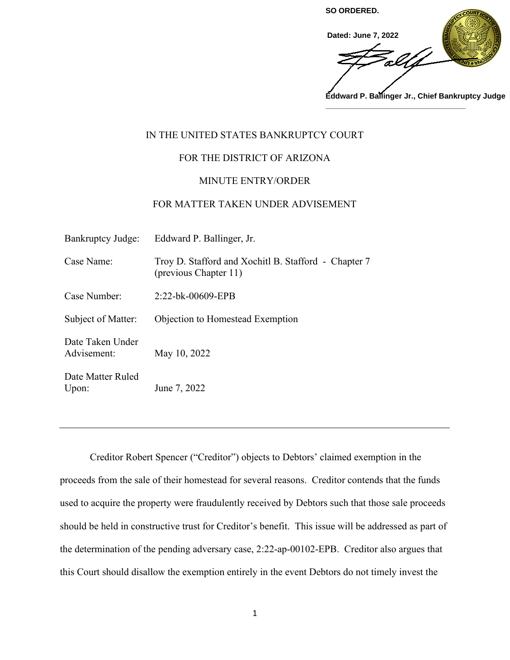

## IN THE UNITED STATES BANKRUPTCY COURT

## FOR THE DISTRICT OF ARIZONA

## MINUTE ENTRY/ORDER

## FOR MATTER TAKEN UNDER ADVISEMENT

| <b>Bankruptcy Judge:</b>        | Eddward P. Ballinger, Jr.                                                     |
|---------------------------------|-------------------------------------------------------------------------------|
| Case Name:                      | Troy D. Stafford and Xochitl B. Stafford - Chapter 7<br>(previous Chapter 11) |
| Case Number:                    | $2:22-bk-00609-EPB$                                                           |
| Subject of Matter:              | Objection to Homestead Exemption                                              |
| Date Taken Under<br>Advisement: | May 10, 2022                                                                  |
| Date Matter Ruled<br>Upon:      | June 7, 2022                                                                  |

 Creditor Robert Spencer ("Creditor") objects to Debtors' claimed exemption in the proceeds from the sale of their homestead for several reasons. Creditor contends that the funds used to acquire the property were fraudulently received by Debtors such that those sale proceeds should be held in constructive trust for Creditor's benefit. This issue will be addressed as part of the determination of the pending adversary case, 2:22-ap-00102-EPB. Creditor also argues that this Court should disallow the exemption entirely in the event Debtors do not timely invest the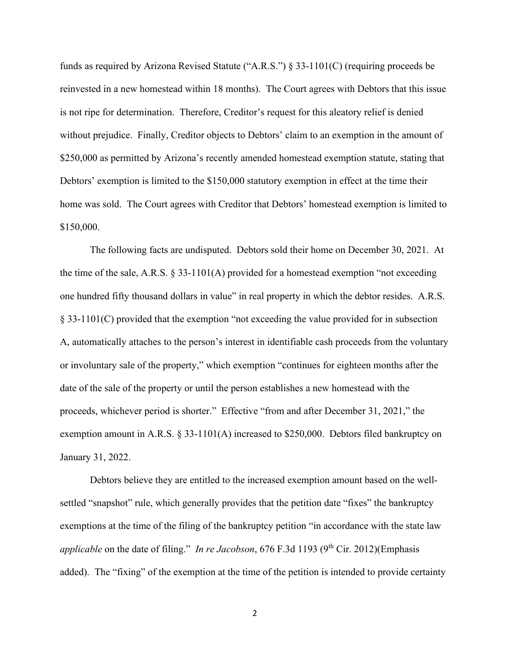funds as required by Arizona Revised Statute ("A.R.S.") § 33-1101(C) (requiring proceeds be reinvested in a new homestead within 18 months). The Court agrees with Debtors that this issue is not ripe for determination. Therefore, Creditor's request for this aleatory relief is denied without prejudice. Finally, Creditor objects to Debtors' claim to an exemption in the amount of \$250,000 as permitted by Arizona's recently amended homestead exemption statute, stating that Debtors' exemption is limited to the \$150,000 statutory exemption in effect at the time their home was sold. The Court agrees with Creditor that Debtors' homestead exemption is limited to \$150,000.

The following facts are undisputed. Debtors sold their home on December 30, 2021. At the time of the sale, A.R.S.  $\S 33-1101(A)$  provided for a homestead exemption "not exceeding one hundred fifty thousand dollars in value" in real property in which the debtor resides. A.R.S. § 33-1101(C) provided that the exemption "not exceeding the value provided for in subsection A, automatically attaches to the person's interest in identifiable cash proceeds from the voluntary or involuntary sale of the property," which exemption "continues for eighteen months after the date of the sale of the property or until the person establishes a new homestead with the proceeds, whichever period is shorter." Effective "from and after December 31, 2021," the exemption amount in A.R.S. § 33-1101(A) increased to \$250,000. Debtors filed bankruptcy on January 31, 2022.

 Debtors believe they are entitled to the increased exemption amount based on the wellsettled "snapshot" rule, which generally provides that the petition date "fixes" the bankruptcy exemptions at the time of the filing of the bankruptcy petition "in accordance with the state law *applicable* on the date of filing." *In re Jacobson*, 676 F.3d 1193 (9<sup>th</sup> Cir. 2012)(Emphasis added). The "fixing" of the exemption at the time of the petition is intended to provide certainty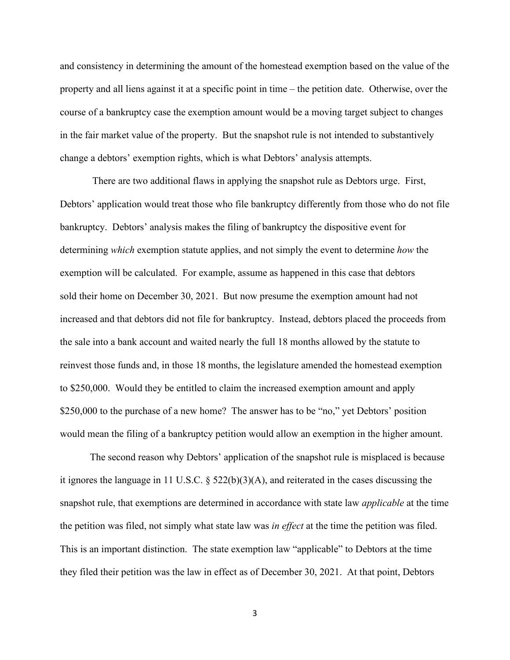and consistency in determining the amount of the homestead exemption based on the value of the property and all liens against it at a specific point in time – the petition date. Otherwise, over the course of a bankruptcy case the exemption amount would be a moving target subject to changes in the fair market value of the property. But the snapshot rule is not intended to substantively change a debtors' exemption rights, which is what Debtors' analysis attempts.

 There are two additional flaws in applying the snapshot rule as Debtors urge. First, Debtors' application would treat those who file bankruptcy differently from those who do not file bankruptcy. Debtors' analysis makes the filing of bankruptcy the dispositive event for determining *which* exemption statute applies, and not simply the event to determine *how* the exemption will be calculated. For example, assume as happened in this case that debtors sold their home on December 30, 2021. But now presume the exemption amount had not increased and that debtors did not file for bankruptcy. Instead, debtors placed the proceeds from the sale into a bank account and waited nearly the full 18 months allowed by the statute to reinvest those funds and, in those 18 months, the legislature amended the homestead exemption to \$250,000. Would they be entitled to claim the increased exemption amount and apply \$250,000 to the purchase of a new home? The answer has to be "no," yet Debtors' position would mean the filing of a bankruptcy petition would allow an exemption in the higher amount.

The second reason why Debtors' application of the snapshot rule is misplaced is because it ignores the language in 11 U.S.C. § 522(b)(3)(A), and reiterated in the cases discussing the snapshot rule, that exemptions are determined in accordance with state law *applicable* at the time the petition was filed, not simply what state law was *in effect* at the time the petition was filed. This is an important distinction. The state exemption law "applicable" to Debtors at the time they filed their petition was the law in effect as of December 30, 2021. At that point, Debtors

3